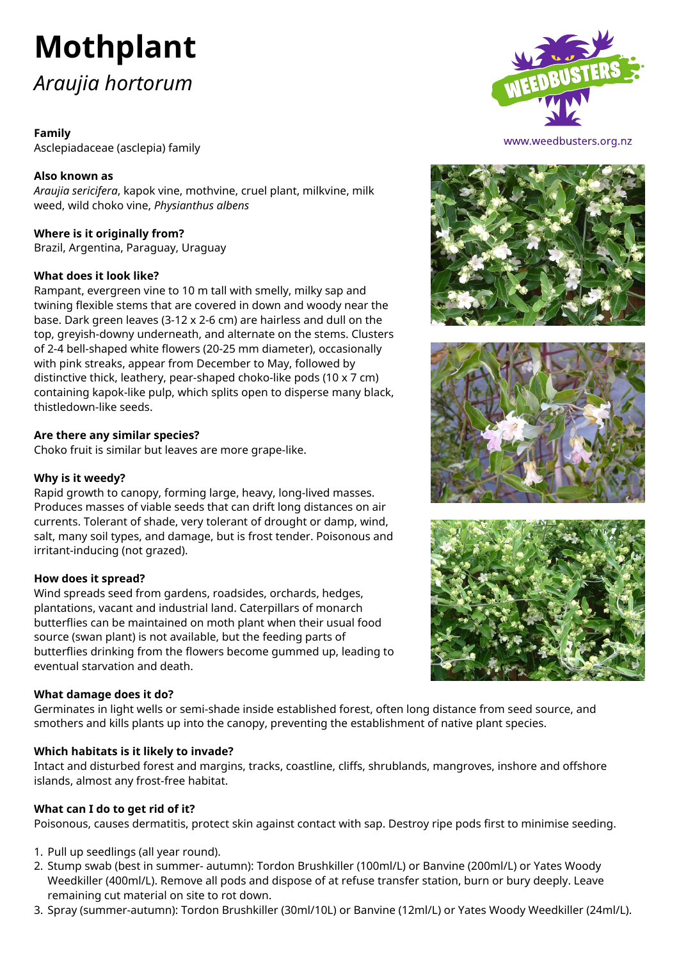# **Mothplant** *Araujia hortorum*

# **Family**

Asclepiadaceae (asclepia) family

# **Also known as**

*Araujia sericifera*, kapok vine, mothvine, cruel plant, milkvine, milk weed, wild choko vine, *Physianthus albens*

# **Where is it originally from?**

Brazil, Argentina, Paraguay, Uraguay

# **What does it look like?**

Rampant, evergreen vine to 10 m tall with smelly, milky sap and twining flexible stems that are covered in down and woody near the base. Dark green leaves (3-12 x 2-6 cm) are hairless and dull on the top, greyish-downy underneath, and alternate on the stems. Clusters of 2-4 bell-shaped white flowers (20-25 mm diameter), occasionally with pink streaks, appear from December to May, followed by distinctive thick, leathery, pear-shaped choko-like pods (10 x 7 cm) containing kapok-like pulp, which splits open to disperse many black, thistledown-like seeds.

# **Are there any similar species?**

Choko fruit is similar but leaves are more grape-like.

## **Why is it weedy?**

Rapid growth to canopy, forming large, heavy, long-lived masses. Produces masses of viable seeds that can drift long distances on air currents. Tolerant of shade, very tolerant of drought or damp, wind, salt, many soil types, and damage, but is frost tender. Poisonous and irritant-inducing (not grazed).

# **How does it spread?**

Wind spreads seed from gardens, roadsides, orchards, hedges, plantations, vacant and industrial land. Caterpillars of monarch butterflies can be maintained on moth plant when their usual food source (swan plant) is not available, but the feeding parts of butterflies drinking from the flowers become gummed up, leading to eventual starvation and death.

### **What damage does it do?**

Germinates in light wells or semi-shade inside established forest, often long distance from seed source, and smothers and kills plants up into the canopy, preventing the establishment of native plant species.

# **Which habitats is it likely to invade?**

Intact and disturbed forest and margins, tracks, coastline, cliffs, shrublands, mangroves, inshore and offshore islands, almost any frost-free habitat.

# **What can I do to get rid of it?**

Poisonous, causes dermatitis, protect skin against contact with sap. Destroy ripe pods first to minimise seeding.

- 1. Pull up seedlings (all year round).
- 2. Stump swab (best in summer- autumn): Tordon Brushkiller (100ml/L) or Banvine (200ml/L) or Yates Woody Weedkiller (400ml/L). Remove all pods and dispose of at refuse transfer station, burn or bury deeply. Leave remaining cut material on site to rot down.
- 3. Spray (summer-autumn): Tordon Brushkiller (30ml/10L) or Banvine (12ml/L) or Yates Woody Weedkiller (24ml/L).



www.weedbusters.org.nz